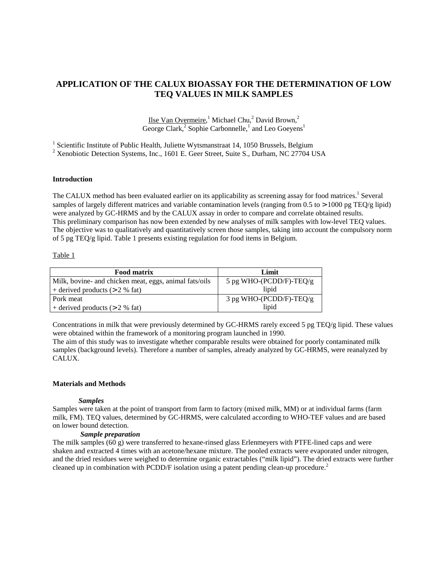# **APPLICATION OF THE CALUX BIOASSAY FOR THE DETERMINATION OF LOW TEQ VALUES IN MILK SAMPLES**

Ilse Van Overmeire,<sup>1</sup> Michael Chu,<sup>2</sup> David Brown,<sup>2</sup> George Clark,<sup>2</sup> Sophie Carbonnelle,<sup>1</sup> and Leo Goeyens<sup>1</sup>

<sup>1</sup> Scientific Institute of Public Health, Juliette Wytsmanstraat 14, 1050 Brussels, Belgium

 $2$  Xenobiotic Detection Systems, Inc., 1601 E. Geer Street, Suite S., Durham, NC 27704 USA

## **Introduction**

The CALUX method has been evaluated earlier on its applicability as screening assay for food matrices.<sup>1</sup> Several samples of largely different matrices and variable contamination levels (ranging from  $0.5$  to  $> 1000$  pg TEQ/g lipid) were analyzed by GC-HRMS and by the CALUX assay in order to compare and correlate obtained results. This preliminary comparison has now been extended by new analyses of milk samples with low-level TEQ values. The objective was to qualitatively and quantitatively screen those samples, taking into account the compulsory norm of 5 pg TEQ/g lipid. Table 1 presents existing regulation for food items in Belgium.

## Table 1

| <b>Food matrix</b>                                     | Limit                   |
|--------------------------------------------------------|-------------------------|
| Milk, bovine- and chicken meat, eggs, animal fats/oils | 5 pg WHO-(PCDD/F)-TEQ/g |
| + derived products $(> 2 %$ fat)                       | lipid                   |
| Pork meat                                              | 3 pg WHO-(PCDD/F)-TEQ/g |
| $+$ derived products ( $> 2\%$ fat)                    | lipid                   |

Concentrations in milk that were previously determined by GC-HRMS rarely exceed 5 pg TEQ/g lipid. These values were obtained within the framework of a monitoring program launched in 1990.

The aim of this study was to investigate whether comparable results were obtained for poorly contaminated milk samples (background levels). Therefore a number of samples, already analyzed by GC-HRMS, were reanalyzed by CALUX.

## **Materials and Methods**

## *Samples*

Samples were taken at the point of transport from farm to factory (mixed milk, MM) or at individual farms (farm milk, FM). TEQ values, determined by GC-HRMS, were calculated according to WHO-TEF values and are based on lower bound detection.

## *Sample preparation*

The milk samples (60 g) were transferred to hexane-rinsed glass Erlenmeyers with PTFE-lined caps and were shaken and extracted 4 times with an acetone/hexane mixture. The pooled extracts were evaporated under nitrogen, and the dried residues were weighed to determine organic extractables ("milk lipid"). The dried extracts were further cleaned up in combination with PCDD/F isolation using a patent pending clean-up procedure.<sup>2</sup>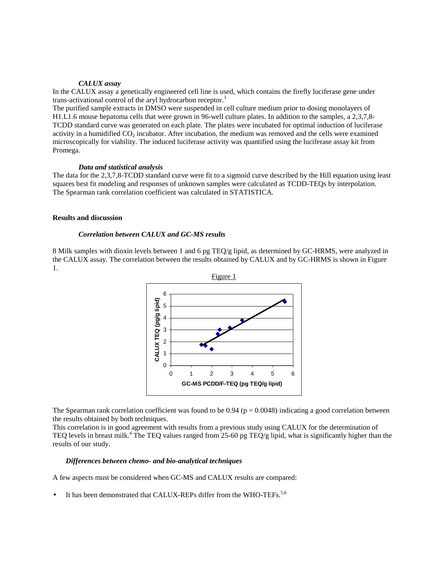#### *CALUX assay*

In the CALUX assay a genetically engineered cell line is used, which contains the firefly luciferase gene under trans-activational control of the aryl hydrocarbon receptor.<sup>3</sup>

The purified sample extracts in DMSO were suspended in cell culture medium prior to dosing monolayers of H1.L1.6 mouse hepatoma cells that were grown in 96-well culture plates. In addition to the samples, a 2,3,7,8- TCDD standard curve was generated on each plate. The plates were incubated for optimal induction of luciferase activity in a humidified  $CO<sub>2</sub>$  incubator. After incubation, the medium was removed and the cells were examined microscopically for viability. The induced luciferase activity was quantified using the luciferase assay kit from Promega.

#### *Data and statistical analysis*

The data for the 2,3,7,8-TCDD standard curve were fit to a sigmoid curve described by the Hill equation using least squares best fit modeling and responses of unknown samples were calculated as TCDD-TEQs by interpolation. The Spearman rank correlation coefficient was calculated in STATISTICA.

# **Results and discussion**

## *Correlation between CALUX and GC-MS results*

8 Milk samples with dioxin levels between 1 and 6 pg TEQ/g lipid, as determined by GC-HRMS, were analyzed in the CALUX assay. The correlation between the results obtained by CALUX and by GC-HRMS is shown in Figure 1.



The Spearman rank correlation coefficient was found to be  $0.94$  (p = 0.0048) indicating a good correlation between the results obtained by both techniques.

This correlation is in good agreement with results from a previous study using CALUX for the determination of TEQ levels in breast milk.<sup>4</sup> The TEQ values ranged from 25-60 pg TEQ/g lipid, what is significantly higher than the results of our study.

#### *Differences between chemo- and bio-analytical techniques*

A few aspects must be considered when GC-MS and CALUX results are compared:

It has been demonstrated that CALUX-REPs differ from the WHO-TEFs.<sup>5,6</sup>